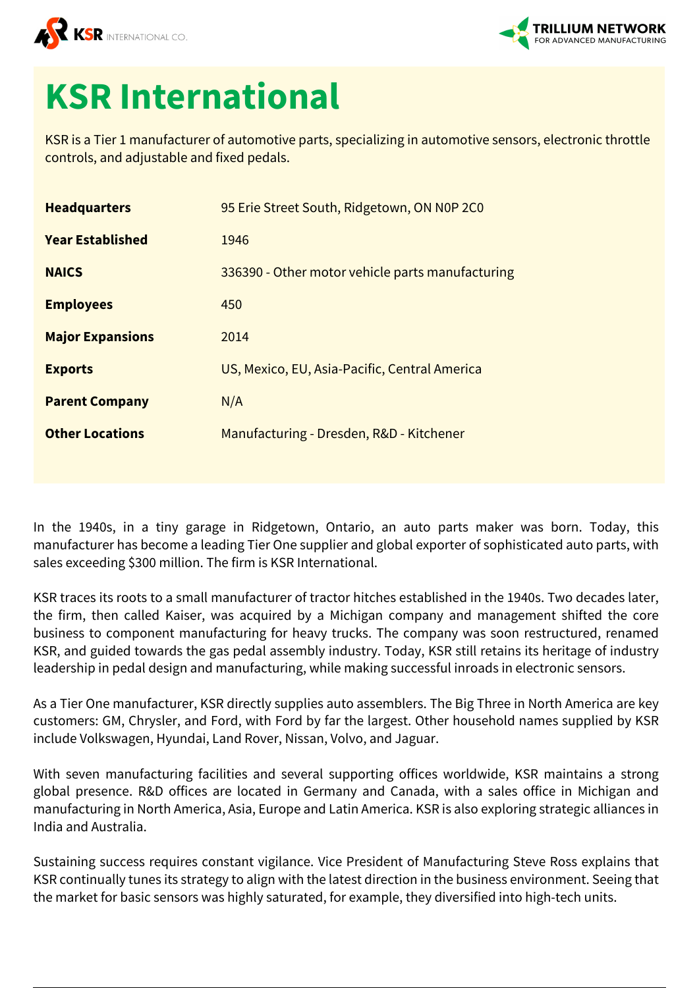



## **KSR International**

KSR is a Tier 1 manufacturer of automotive parts, specializing in automotive sensors, electronic throttle controls, and adjustable and fixed pedals.

| <b>Headquarters</b>     | 95 Erie Street South, Ridgetown, ON NOP 2CO      |
|-------------------------|--------------------------------------------------|
| <b>Year Established</b> | 1946                                             |
| <b>NAICS</b>            | 336390 - Other motor vehicle parts manufacturing |
| <b>Employees</b>        | 450                                              |
| <b>Major Expansions</b> | 2014                                             |
| <b>Exports</b>          | US, Mexico, EU, Asia-Pacific, Central America    |
| <b>Parent Company</b>   | N/A                                              |
| <b>Other Locations</b>  | Manufacturing - Dresden, R&D - Kitchener         |
|                         |                                                  |

In the 1940s, in a tiny garage in Ridgetown, Ontario, an auto parts maker was born. Today, this manufacturer has become a leading Tier One supplier and global exporter of sophisticated auto parts, with sales exceeding \$300 million. The firm is KSR International.

KSR traces its roots to a small manufacturer of tractor hitches established in the 1940s. Two decades later, the firm, then called Kaiser, was acquired by a Michigan company and management shifted the core business to component manufacturing for heavy trucks. The company was soon restructured, renamed KSR, and guided towards the gas pedal assembly industry. Today, KSR still retains its heritage of industry leadership in pedal design and manufacturing, while making successful inroads in electronic sensors.

As a Tier One manufacturer, KSR directly supplies auto assemblers. The Big Three in North America are key customers: GM, Chrysler, and Ford, with Ford by far the largest. Other household names supplied by KSR include Volkswagen, Hyundai, Land Rover, Nissan, Volvo, and Jaguar.

With seven manufacturing facilities and several supporting offices worldwide, KSR maintains a strong global presence. R&D offices are located in Germany and Canada, with a sales office in Michigan and manufacturing in North America, Asia, Europe and Latin America. KSR is also exploring strategic alliances in India and Australia.

Sustaining success requires constant vigilance. Vice President of Manufacturing Steve Ross explains that KSR continually tunes its strategy to align with the latest direction in the business environment. Seeing that the market for basic sensors was highly saturated, for example, they diversified into high-tech units.